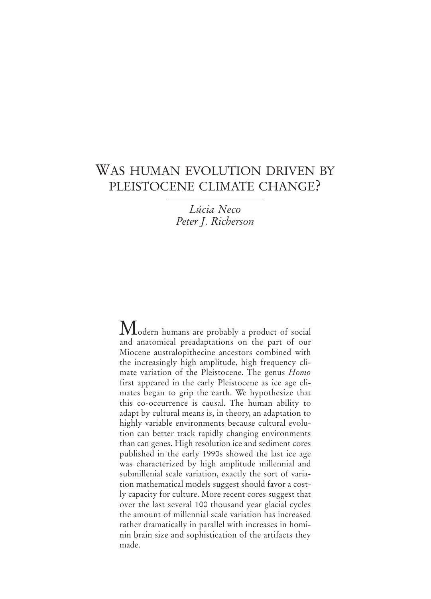# WAS HUMAN EVOLUTION DRIVEN BY PLEISTOCENE CLIMATE CHANGE?

*Lúcia Neco Peter J. Richerson*

Modern humans are probably a product of social and anatomical preadaptations on the part of our Miocene australopithecine ancestors combined with the increasingly high amplitude, high frequency climate variation of the Pleistocene. The genus *Homo* first appeared in the early Pleistocene as ice age climates began to grip the earth. We hypothesize that this co-occurrence is causal. The human ability to adapt by cultural means is, in theory, an adaptation to highly variable environments because cultural evolution can better track rapidly changing environments than can genes. High resolution ice and sediment cores published in the early 1990s showed the last ice age was characterized by high amplitude millennial and submillenial scale variation, exactly the sort of variation mathematical models suggest should favor a costly capacity for culture. More recent cores suggest that over the last several 100 thousand year glacial cycles the amount of millennial scale variation has increased rather dramatically in parallel with increases in hominin brain size and sophistication of the artifacts they made.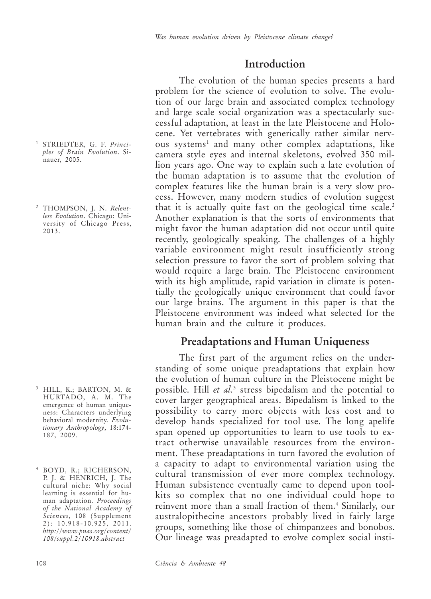### **Introduction**

The evolution of the human species presents a hard problem for the science of evolution to solve. The evolution of our large brain and associated complex technology and large scale social organization was a spectacularly successful adaptation, at least in the late Pleistocene and Holocene. Yet vertebrates with generically rather similar nervous systems<sup>1</sup> and many other complex adaptations, like camera style eyes and internal skeletons, evolved 350 million years ago. One way to explain such a late evolution of the human adaptation is to assume that the evolution of complex features like the human brain is a very slow process. However, many modern studies of evolution suggest that it is actually quite fast on the geological time scale.<sup>2</sup> Another explanation is that the sorts of environments that might favor the human adaptation did not occur until quite recently, geologically speaking. The challenges of a highly variable environment might result insufficiently strong selection pressure to favor the sort of problem solving that would require a large brain. The Pleistocene environment with its high amplitude, rapid variation in climate is potentially the geologically unique environment that could favor our large brains. The argument in this paper is that the Pleistocene environment was indeed what selected for the human brain and the culture it produces.

### **Preadaptations and Human Uniqueness**

The first part of the argument relies on the understanding of some unique preadaptations that explain how the evolution of human culture in the Pleistocene might be possible. Hill *et al.*<sup>3</sup> stress bipedalism and the potential to cover larger geographical areas. Bipedalism is linked to the possibility to carry more objects with less cost and to develop hands specialized for tool use. The long apelife span opened up opportunities to learn to use tools to extract otherwise unavailable resources from the environment. These preadaptations in turn favored the evolution of a capacity to adapt to environmental variation using the cultural transmission of ever more complex technology. Human subsistence eventually came to depend upon toolkits so complex that no one individual could hope to reinvent more than a small fraction of them.4 Similarly, our australopithecine ancestors probably lived in fairly large groups, something like those of chimpanzees and bonobos. Our lineage was preadapted to evolve complex social insti-

- <sup>1</sup> STRIEDTER, G. F. *Principles of Brain Evolution*. Sinauer, 2005.
- <sup>2</sup> THOMPSON, J. N. *Relentless Evolution*. Chicago: University of Chicago Press, 2013.

- <sup>3</sup> HILL, K.; BARTON, M. & HURTADO, A. M. The emergence of human uniqueness: Characters underlying behavioral modernity. *Evolutionary Anthropology*, 18:174- 187, 2009.
- <sup>4</sup> BOYD, R.; RICHERSON, P. J. & HENRICH, J. The cultural niche: Why social learning is essential for human adaptation. *Proceedings of the National Academy of Sciences*, 108 (Supplement 2): 10.918-10.925, 2011. *http://www.pnas.org/content/ 108/suppl.2/10918.abstract*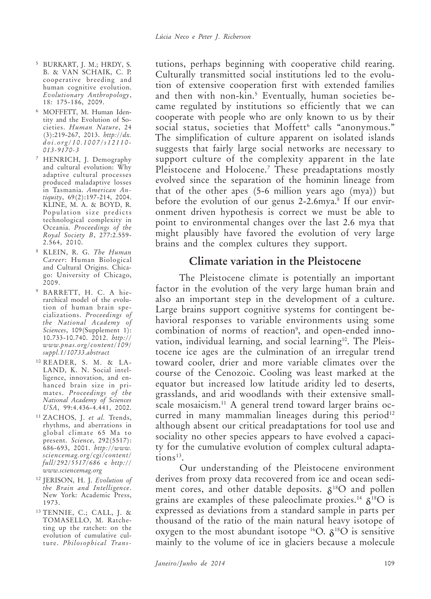- <sup>5</sup> BURKART, J. M.; HRDY, S. B. & VAN SCHAIK, C. P. cooperative breeding and human cognitive evolution. *Evolutionary Anthropology*, 18: 175-186, 2009.
- <sup>6</sup> MOFFETT, M. Human Identity and the Evolution of Societies. *Human Nature*, 24 (3):219-267, 2013. *http://dx. doi.org/10.1007/s12110- 013-9170-3*
- <sup>7</sup> HENRICH, J. Demography and cultural evolution: Why adaptive cultural processes produced maladaptive losses in Tasmania. *American Antiquity*, 69(2):197-214, 2004. KLINE, M. A. & BOYD, R. Population size predicts technological complexity in Oceania. *Proceedings of the Royal Society B*, 277:2.559- 2.564, 2010.
- <sup>8</sup> KLEIN, R. G. *The Human Career*: Human Biological and Cultural Origins. Chicago: University of Chicago, 2009.
- <sup>9</sup> BARRETT, H. C. A hierarchical model of the evolution of human brain specializations. *Proceedings of the National Academy of Sciences*, 109(Supplement 1): 10.733-10.740. 2012. *http:// www.pnas.org/content/109/ suppl.1/10733.abstract*
- <sup>10</sup> READER, S. M. & LA-LAND, K. N. Social intelligence, innovation, and enhanced brain size in primates. *Proceedings of the National Academy of Sciences USA*, 99:4.436-4.441, 2002.
- <sup>11</sup> ZACHOS, J. *et al.* Trends, rhythms, and aberrations in global climate 65 Ma to present. *Science*, 292(5517): 686-693, 2001. *http://www. sciencemag.org/cgi/content/ full/292/5517/686* e *http:// www.sciencemag.org*
- <sup>12</sup> JERISON, H. J. *Evolution of the Brain and Intelligence*. New York: Academic Press, 1973.
- <sup>13</sup> TENNIE, C.; CALL, J. & TOMASELLO, M. Ratcheting up the ratchet: on the evolution of cumulative culture. *Philosophical Trans-*

tutions, perhaps beginning with cooperative child rearing. Culturally transmitted social institutions led to the evolution of extensive cooperation first with extended families and then with non-kin.5 Eventually, human societies became regulated by institutions so efficiently that we can cooperate with people who are only known to us by their social status, societies that Moffett<sup>6</sup> calls "anonymous." The simplification of culture apparent on isolated islands suggests that fairly large social networks are necessary to support culture of the complexity apparent in the late Pleistocene and Holocene.7 These preadaptations mostly evolved since the separation of the hominin lineage from that of the other apes (5-6 million years ago (mya)) but before the evolution of our genus 2-2.6mya.<sup>8</sup> If our environment driven hypothesis is correct we must be able to point to environmental changes over the last 2.6 mya that might plausibly have favored the evolution of very large brains and the complex cultures they support.

## **Climate variation in the Pleistocene**

The Pleistocene climate is potentially an important factor in the evolution of the very large human brain and also an important step in the development of a culture. Large brains support cognitive systems for contingent behavioral responses to variable environments using some combination of norms of reaction<sup>9</sup>, and open-ended innovation, individual learning, and social learning<sup>10</sup>. The Pleistocene ice ages are the culmination of an irregular trend toward cooler, drier and more variable climates over the course of the Cenozoic. Cooling was least marked at the equator but increased low latitude aridity led to deserts, grasslands, and arid woodlands with their extensive smallscale mosaicism.<sup>11</sup> A general trend toward larger brains occurred in many mammalian lineages during this period<sup>12</sup> although absent our critical preadaptations for tool use and sociality no other species appears to have evolved a capacity for the cumulative evolution of complex cultural adapta $tions<sup>13</sup>$ .

Our understanding of the Pleistocene environment derives from proxy data recovered from ice and ocean sediment cores, and other datable deposits.  $\delta^{18}O$  and pollen grains are examples of these paleoclimate proxies.<sup>14</sup>  $\delta^{18}$ O is expressed as deviations from a standard sample in parts per thousand of the ratio of the main natural heavy isotope of oxygen to the most abundant isotope <sup>16</sup>O.  $\delta^{18}$ O is sensitive mainly to the volume of ice in glaciers because a molecule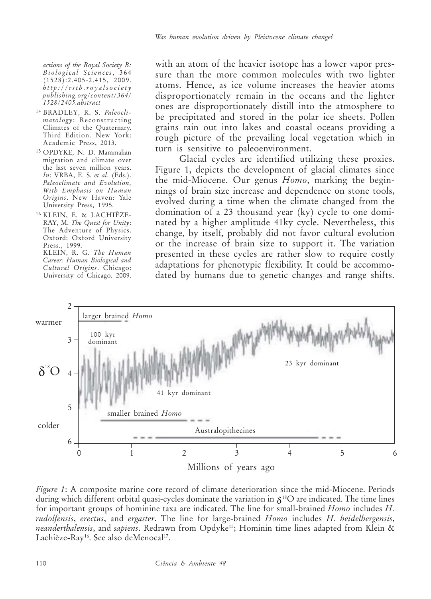*actions of the Royal Society B: Biological Sciences*, 364 (1528):2.405-2.415, 2009. *http://rstb.royalsociety publishing.org/content/364/ 1528/2405.abstract*

- <sup>14</sup> BRADLEY, R. S. *Paleoclimatology*: Reconstructing Climates of the Quaternary. Third Edition. New York: Academic Press, 2013.
- <sup>15</sup> OPDYKE, N. D. Mammalian migration and climate over the last seven million years. *In*: VRBA, E. S. *et al*. (Eds.). *Paleoclimate and Evolution, With Emphasis on Human Origins*. New Haven: Yale University Press, 1995.
- <sup>16</sup> KLEIN, E. & LACHIÈZE-RAY, M. *The Quest for Unity*: The Adventure of Physics. Oxford: Oxford University Press., 1999. KLEIN, R. G. *The Human Career: Human Biological and Cultural Origins*. Chicago: University of Chicago. 2009.

with an atom of the heavier isotope has a lower vapor pressure than the more common molecules with two lighter atoms. Hence, as ice volume increases the heavier atoms disproportionately remain in the oceans and the lighter ones are disproportionately distill into the atmosphere to be precipitated and stored in the polar ice sheets. Pollen grains rain out into lakes and coastal oceans providing a rough picture of the prevailing local vegetation which in turn is sensitive to paleoenvironment.

Glacial cycles are identified utilizing these proxies. Figure 1, depicts the development of glacial climates since the mid-Miocene. Our genus *Homo*, marking the beginnings of brain size increase and dependence on stone tools, evolved during a time when the climate changed from the domination of a 23 thousand year (ky) cycle to one dominated by a higher amplitude 41ky cycle. Nevertheless, this change, by itself, probably did not favor cultural evolution or the increase of brain size to support it. The variation presented in these cycles are rather slow to require costly adaptations for phenotypic flexibility. It could be accommodated by humans due to genetic changes and range shifts.



*Figure 1*: A composite marine core record of climate deterioration since the mid-Miocene. Periods during which different orbital quasi-cycles dominate the variation in  $\delta^{18}O$  are indicated. The time lines for important groups of hominine taxa are indicated. The line for small-brained *Homo* includes *H. rudolfensis*, *erectus*, and *ergaster*. The line for large-brained *Homo* includes *H*. *heidelbergensis*, *neanderthalensis*, and *sapiens*. Redrawn from Opdyke15; Hominin time lines adapted from Klein & Lachièze-Ray<sup>16</sup>. See also deMenocal<sup>17</sup>.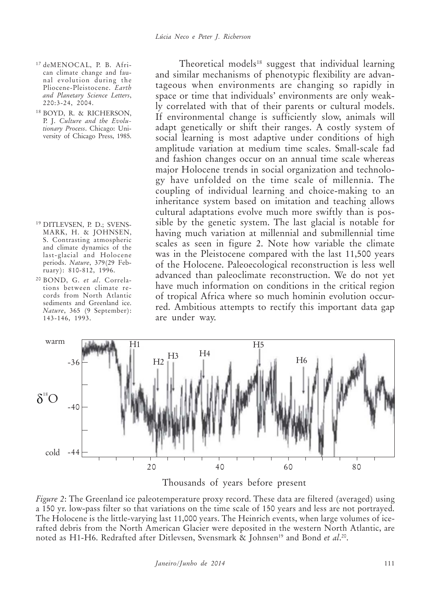- <sup>17</sup> deMENOCAL, P. B. African climate change and faunal evolution during the Pliocene-Pleistocene. *Earth and Planetary Science Letters*, 220:3-24, 2004.
- <sup>18</sup> BOYD, R. & RICHERSON, P. J. *Culture and the Evolutionary Process*. Chicago: University of Chicago Press, 1985.

- <sup>19</sup> DITLEVSEN, P. D.; SVENS-MARK, H. & JOHNSEN, S. Contrasting atmospheric and climate dynamics of the last-glacial and Holocene periods. *Nature*, 379(29 February): 810-812, 1996.
- <sup>20</sup> BOND, G. *et al*. Correlations between climate records from North Atlantic sediments and Greenland ice. *Nature*, 365 (9 September): 143-146, 1993.

Theoretical models<sup>18</sup> suggest that individual learning and similar mechanisms of phenotypic flexibility are advantageous when environments are changing so rapidly in space or time that individuals' environments are only weakly correlated with that of their parents or cultural models. If environmental change is sufficiently slow, animals will adapt genetically or shift their ranges. A costly system of social learning is most adaptive under conditions of high amplitude variation at medium time scales. Small-scale fad and fashion changes occur on an annual time scale whereas major Holocene trends in social organization and technology have unfolded on the time scale of millennia. The coupling of individual learning and choice-making to an inheritance system based on imitation and teaching allows cultural adaptations evolve much more swiftly than is possible by the genetic system. The last glacial is notable for having much variation at millennial and submillennial time scales as seen in figure 2. Note how variable the climate was in the Pleistocene compared with the last 11,500 years of the Holocene. Paleoecological reconstruction is less well advanced than paleoclimate reconstruction. We do not yet have much information on conditions in the critical region of tropical Africa where so much hominin evolution occurred. Ambitious attempts to rectify this important data gap are under way.



Thousands of years before present

*Figure 2*: The Greenland ice paleotemperature proxy record. These data are filtered (averaged) using a 150 yr. low-pass filter so that variations on the time scale of 150 years and less are not portrayed. The Holocene is the little-varying last 11,000 years. The Heinrich events, when large volumes of icerafted debris from the North American Glacier were deposited in the western North Atlantic, are noted as H1-H6. Redrafted after Ditlevsen, Svensmark & Johnsen<sup>19</sup> and Bond *et al.*20.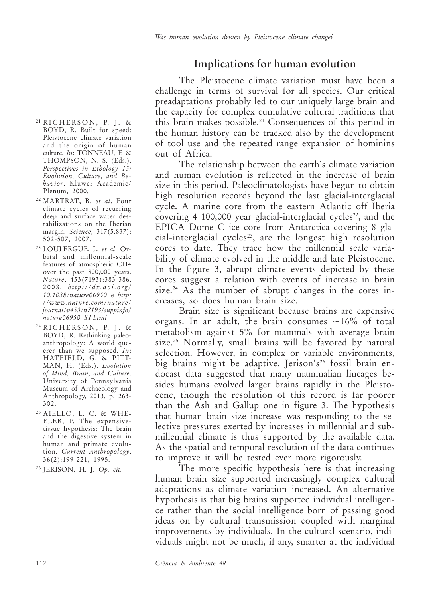## **Implications for human evolution**

The Pleistocene climate variation must have been a challenge in terms of survival for all species. Our critical preadaptations probably led to our uniquely large brain and the capacity for complex cumulative cultural traditions that this brain makes possible.21 Consequences of this period in the human history can be tracked also by the development of tool use and the repeated range expansion of hominins out of Africa.

The relationship between the earth's climate variation and human evolution is reflected in the increase of brain size in this period. Paleoclimatologists have begun to obtain high resolution records beyond the last glacial-interglacial cycle. A marine core from the eastern Atlantic off Iberia covering 4 100,000 year glacial-interglacial cycles<sup>22</sup>, and the EPICA Dome C ice core from Antarctica covering 8 gla $cial-integral acid cycles<sup>23</sup>$ , are the longest high resolution cores to date. They trace how the millennial scale variability of climate evolved in the middle and late Pleistocene. In the figure 3, abrupt climate events depicted by these cores suggest a relation with events of increase in brain size.<sup>24</sup> As the number of abrupt changes in the cores increases, so does human brain size.

Brain size is significant because brains are expensive organs. In an adult, the brain consumes  $\sim 16\%$  of total metabolism against 5% for mammals with average brain size.25 Normally, small brains will be favored by natural selection. However, in complex or variable environments, big brains might be adaptive. Jerison's<sup>26</sup> fossil brain endocast data suggested that many mammalian lineages besides humans evolved larger brains rapidly in the Pleistocene, though the resolution of this record is far poorer than the Ash and Gallup one in figure 3. The hypothesis that human brain size increase was responding to the selective pressures exerted by increases in millennial and submillennial climate is thus supported by the available data. As the spatial and temporal resolution of the data continues to improve it will be tested ever more rigorously.

The more specific hypothesis here is that increasing human brain size supported increasingly complex cultural adaptations as climate variation increased. An alternative hypothesis is that big brains supported individual intelligence rather than the social intelligence born of passing good ideas on by cultural transmission coupled with marginal improvements by individuals. In the cultural scenario, individuals might not be much, if any, smarter at the individual

- $21$  RICHERSON, P. J. & BOYD, R. Built for speed: Pleistocene climate variation and the origin of human culture. *In*: TONNEAU, F. & THOMPSON, N. S. (Eds.). *Perspectives in Ethology 13: Evolution, Culture, and Behavior*. Kluwer Academic/ Plenum, 2000.
- <sup>22</sup> MARTRAT, B. *et al*. Four climate cycles of recurring deep and surface water destabilizations on the Iberian margin. *Science*, 317(5.837): 502-507, 2007.
- <sup>23</sup> LOULERGUE, L. *et al*. Orbital and millennial-scale features of atmospheric CH4 over the past 800,000 years. *Nature*, 453(7193):383-386, 2008. *http://dx.doi.org/ 10.1038/nature06950* e *http: //www.nature.com/nature/ journal/v453/n7193/suppinfo/ nature06950\_S1.html*
- $24$  RICHERSON, P. J. & BOYD, R. Rethinking paleoanthropology: A world queerer than we supposed. *In*: HATFIELD, G. & PITT-MAN, H. (Eds.). *Evolution of Mind, Brain, and Culture*. University of Pennsylvania Museum of Archaeology and Anthropology, 2013. p. 263- 302.
- <sup>25</sup> AIELLO, L. C. & WHE-ELER, P. The expensivetissue hypothesis: The brain and the digestive system in human and primate evolution. *Current Anthropology*, 36(2):199-221, 1995.
- <sup>26</sup> JERISON, H. J. *Op. cit.*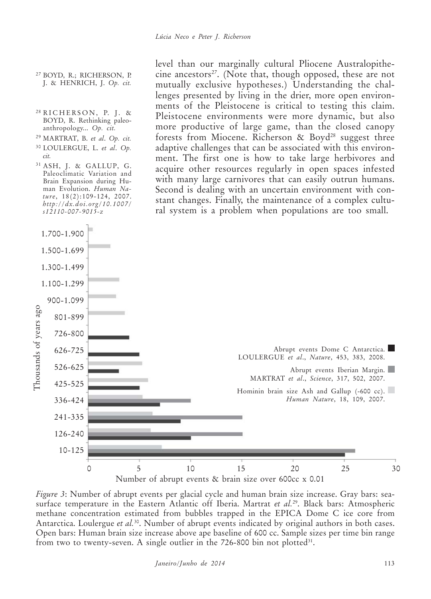- <sup>27</sup> BOYD, R.; RICHERSON, P. J. & HENRICH, J. *Op. cit.*
- $28$  RICHERSON, P. J. & BOYD, R. Rethinking paleoanthropology... *Op. cit.*
- <sup>29</sup> MARTRAT, B. *et al*. *Op. cit.*
- <sup>30</sup> LOULERGUE, L. *et al*. *Op. cit.*
- <sup>31</sup> ASH, J. & GALLUP, G. Paleoclimatic Variation and Brain Expansion during Human Evolution. *Human Nature*, 18(2):109-124, 2007. *http://dx.doi.org/10.1007/ s12110-007-9015-z*

level than our marginally cultural Pliocene Australopithecine ancestors<sup>27</sup>. (Note that, though opposed, these are not mutually exclusive hypotheses.) Understanding the challenges presented by living in the drier, more open environments of the Pleistocene is critical to testing this claim. Pleistocene environments were more dynamic, but also more productive of large game, than the closed canopy forests from Miocene. Richerson  $\&$  Boyd<sup>28</sup> suggest three adaptive challenges that can be associated with this environment. The first one is how to take large herbivores and acquire other resources regularly in open spaces infested with many large carnivores that can easily outrun humans. Second is dealing with an uncertain environment with constant changes. Finally, the maintenance of a complex cultural system is a problem when populations are too small.



*Figure 3*: Number of abrupt events per glacial cycle and human brain size increase. Gray bars: seasurface temperature in the Eastern Atlantic off Iberia. Martrat *et al.*29. Black bars: Atmospheric methane concentration estimated from bubbles trapped in the EPICA Dome C ice core from Antarctica. Loulergue *et al.*30. Number of abrupt events indicated by original authors in both cases. Open bars: Human brain size increase above ape baseline of 600 cc. Sample sizes per time bin range from two to twenty-seven. A single outlier in the  $726-800$  bin not plotted<sup>31</sup>.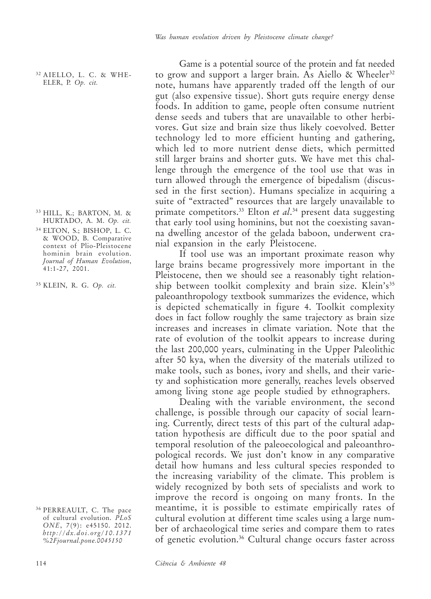<sup>32</sup> AIELLO, L. C. & WHE-ELER, P. *Op. cit.*

- <sup>33</sup> HILL, K.; BARTON, M. & HURTADO, A. M. *Op. cit.*
- <sup>34</sup> ELTON, S.; BISHOP, L. C. & WOOD, B. Comparative context of Plio-Pleistocene hominin brain evolution. *Journal of Human Evolution*, 41:1-27, 2001.

<sup>35</sup> KLEIN, R. G. *Op. cit.*

Game is a potential source of the protein and fat needed to grow and support a larger brain. As Aiello & Wheeler<sup>32</sup> note, humans have apparently traded off the length of our gut (also expensive tissue). Short guts require energy dense foods. In addition to game, people often consume nutrient dense seeds and tubers that are unavailable to other herbivores. Gut size and brain size thus likely coevolved. Better technology led to more efficient hunting and gathering, which led to more nutrient dense diets, which permitted still larger brains and shorter guts. We have met this challenge through the emergence of the tool use that was in turn allowed through the emergence of bipedalism (discussed in the first section). Humans specialize in acquiring a suite of "extracted" resources that are largely unavailable to primate competitors.33 Elton *et al*. 34 present data suggesting that early tool using hominins, but not the coexisting savanna dwelling ancestor of the gelada baboon, underwent cranial expansion in the early Pleistocene.

If tool use was an important proximate reason why large brains became progressively more important in the Pleistocene, then we should see a reasonably tight relationship between toolkit complexity and brain size. Klein's<sup>35</sup> paleoanthropology textbook summarizes the evidence, which is depicted schematically in figure 4. Toolkit complexity does in fact follow roughly the same trajectory as brain size increases and increases in climate variation. Note that the rate of evolution of the toolkit appears to increase during the last 200,000 years, culminating in the Upper Paleolithic after 50 kya, when the diversity of the materials utilized to make tools, such as bones, ivory and shells, and their variety and sophistication more generally, reaches levels observed among living stone age people studied by ethnographers.

Dealing with the variable environment, the second challenge, is possible through our capacity of social learning. Currently, direct tests of this part of the cultural adaptation hypothesis are difficult due to the poor spatial and temporal resolution of the paleoecological and paleoanthropological records. We just don't know in any comparative detail how humans and less cultural species responded to the increasing variability of the climate. This problem is widely recognized by both sets of specialists and work to improve the record is ongoing on many fronts. In the meantime, it is possible to estimate empirically rates of cultural evolution at different time scales using a large number of archaeological time series and compare them to rates of genetic evolution.36 Cultural change occurs faster across

<sup>36</sup> PERREAULT, C. The pace of cultural evolution. *PLoS ONE*, 7(9): e45150. 2012. *http://dx.doi.org/10.1371 %2Fjournal.pone.0045150*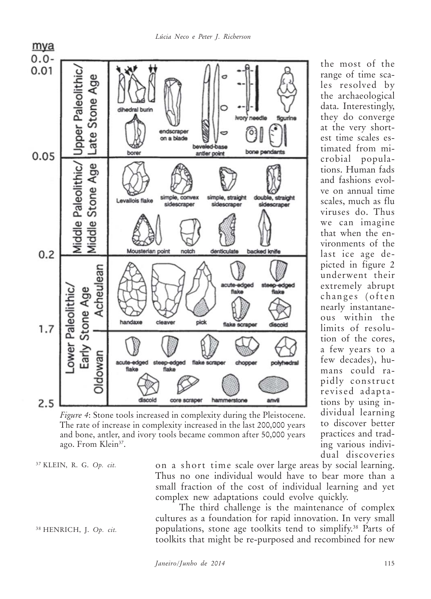*Lúcia Neco e Peter J. Richerson*



les resolved by the archaeological data. Interestingly, they do converge at the very shortest time scales estimated from microbial populations. Human fads and fashions evolve on annual time scales, much as flu viruses do. Thus we can imagine that when the environments of the last ice age depicted in figure 2 underwent their extremely abrupt changes (often nearly instantaneous within the limits of resolution of the cores, a few years to a few decades), humans could rapidly construct revised adaptations by using individual learning to discover better practices and trading various individual discoveries

the most of the range of time sca-

*Figure 4*: Stone tools increased in complexity during the Pleistocene. The rate of increase in complexity increased in the last 200,000 years and bone, antler, and ivory tools became common after 50,000 years ago. From Klein<sup>37</sup>.

<sup>37</sup> KLEIN, R. G. *Op. cit.*

<sup>38</sup> HENRICH, J. *Op. cit.*

on a short time scale over large areas by social learning. Thus no one individual would have to bear more than a small fraction of the cost of individual learning and yet complex new adaptations could evolve quickly.

The third challenge is the maintenance of complex cultures as a foundation for rapid innovation. In very small populations, stone age toolkits tend to simplify.38 Parts of toolkits that might be re-purposed and recombined for new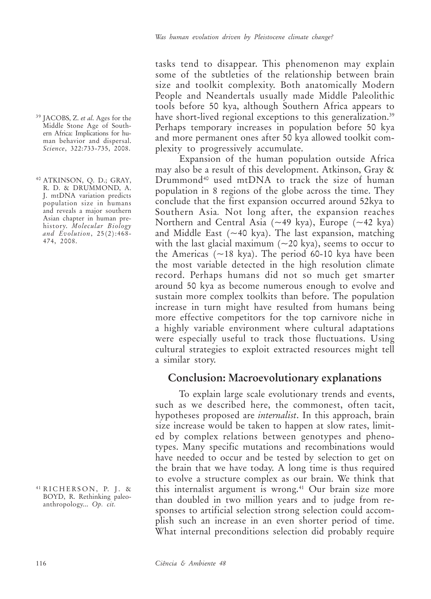tasks tend to disappear. This phenomenon may explain some of the subtleties of the relationship between brain size and toolkit complexity. Both anatomically Modern People and Neandertals usually made Middle Paleolithic tools before 50 kya, although Southern Africa appears to have short-lived regional exceptions to this generalization.<sup>39</sup> Perhaps temporary increases in population before 50 kya and more permanent ones after 50 kya allowed toolkit complexity to progressively accumulate.

Expansion of the human population outside Africa may also be a result of this development. Atkinson, Gray & Drummond40 used mtDNA to track the size of human population in 8 regions of the globe across the time. They conclude that the first expansion occurred around 52kya to Southern Asia*.* Not long after, the expansion reaches Northern and Central Asia (~49 kya), Europe (~42 kya) and Middle East  $({\sim}40 \text{ kya})$ . The last expansion, matching with the last glacial maximum  $(\sim 20 \text{ kya})$ , seems to occur to the Americas  $(\sim 18 \text{ kya})$ . The period 60-10 kya have been the most variable detected in the high resolution climate record. Perhaps humans did not so much get smarter around 50 kya as become numerous enough to evolve and sustain more complex toolkits than before. The population increase in turn might have resulted from humans being more effective competitors for the top carnivore niche in a highly variable environment where cultural adaptations were especially useful to track those fluctuations. Using cultural strategies to exploit extracted resources might tell a similar story.

#### **Conclusion: Macroevolutionary explanations**

To explain large scale evolutionary trends and events, such as we described here, the commonest, often tacit, hypotheses proposed are *internalist*. In this approach, brain size increase would be taken to happen at slow rates, limited by complex relations between genotypes and phenotypes. Many specific mutations and recombinations would have needed to occur and be tested by selection to get on the brain that we have today. A long time is thus required to evolve a structure complex as our brain. We think that this internalist argument is wrong.<sup>41</sup> Our brain size more than doubled in two million years and to judge from responses to artificial selection strong selection could accomplish such an increase in an even shorter period of time. What internal preconditions selection did probably require

<sup>39</sup> JACOBS, Z. *et al*. Ages for the Middle Stone Age of Southern Africa: Implications for human behavior and dispersal. *Science*, 322:733-735, 2008.

<sup>40</sup> ATKINSON, Q. D.; GRAY, R. D. & DRUMMOND, A. J. mtDNA variation predicts population size in humans and reveals a major southern Asian chapter in human prehistory. *Molecular Biology and Evolution*, 25(2):468- 474, 2008.

 $41$  RICHERSON, P. J. & BOYD, R. Rethinking paleoanthropology... *Op. cit.*